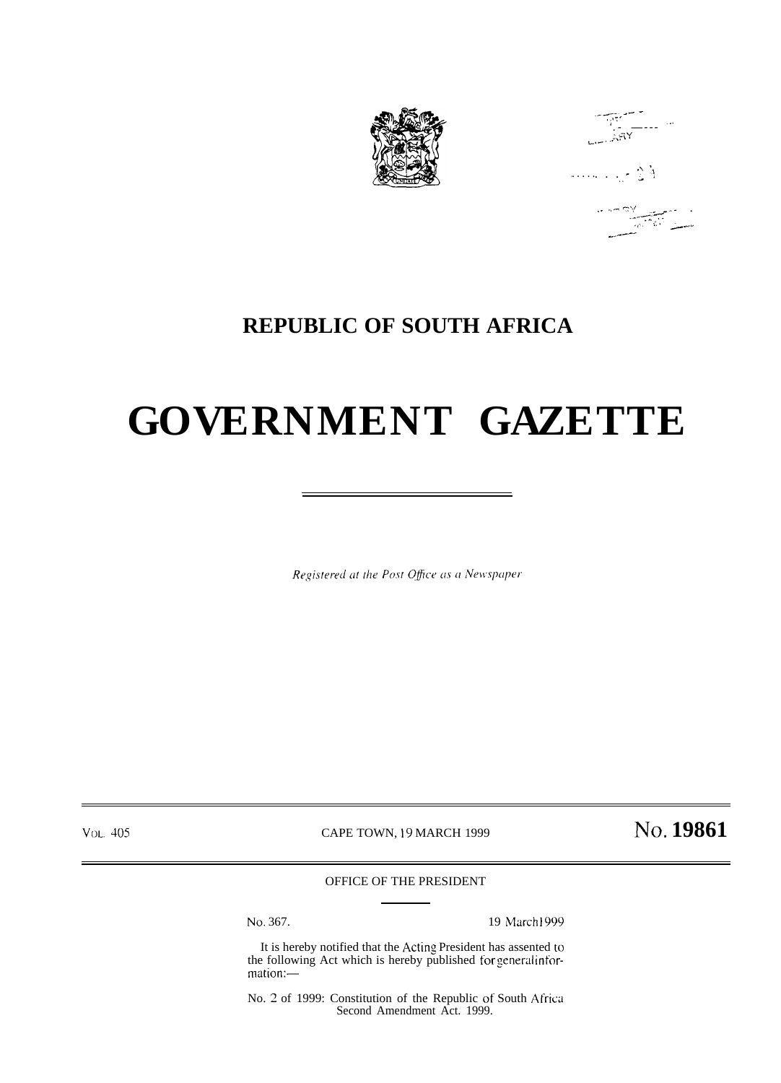

 $\begin{array}{c}\n\overbrace{\left(\frac{1}{2}\right)^2} \\
\overbrace{\left(\frac{1}{2}\right)^2} \\
\overbrace{\left(\frac{1}{2}\right)^2} \\
\overbrace{\left(\frac{1}{2}\right)^2} \\
\overbrace{\left(\frac{1}{2}\right)^2} \\
\overbrace{\left(\frac{1}{2}\right)^2} \\
\overbrace{\left(\frac{1}{2}\right)^2} \\
\overbrace{\left(\frac{1}{2}\right)^2} \\
\overbrace{\left(\frac{1}{2}\right)^2} \\
\overbrace{\left(\frac{1}{2}\right)^2} \\
\overbrace{\left(\frac{1}{2}\right)^2} \\
\overbrace{\left(\frac{1}{2}\right)^2} \\
\overbrace{\left(\frac{$ 

 $F_2 \sim 1000$  .

## 

### **REPUBLIC OF SOUTH AFRICA**

# **GOVERNMENT GAZETTE**

Registered at the Post Office as a Newspaper

VOL. 405

CAPE TOWN, 19 MARCH 1999

No. 19861

#### OFFICE OF THE PRESIDENT

No. 367.

19 March1999

It is hereby notified that the Acting President has assented to the following Act which is hereby published for general information:-

No. 2 of 1999: Constitution of the Republic of South Africa Second Amendment Act. 1999.